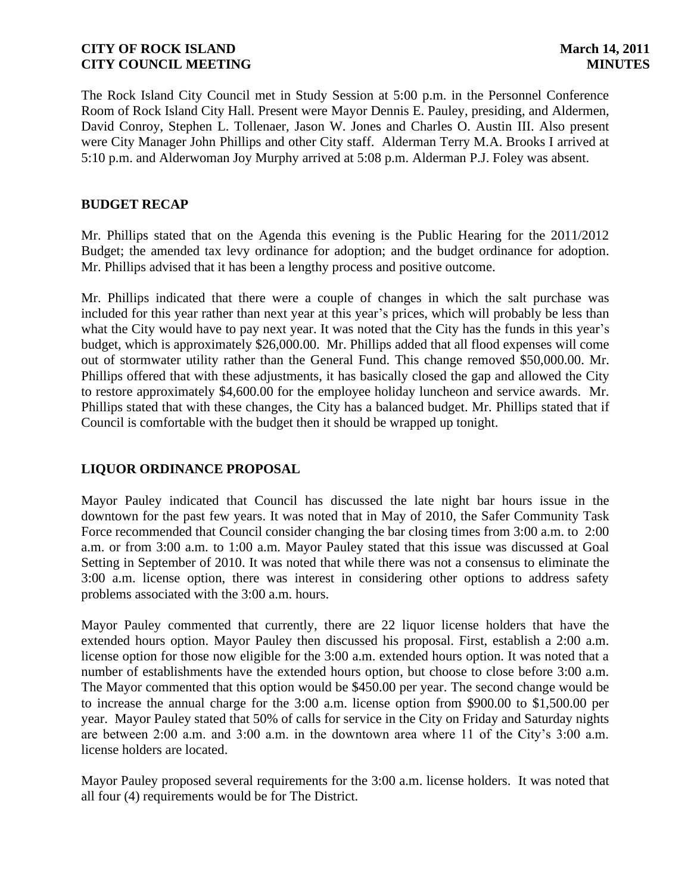The Rock Island City Council met in Study Session at 5:00 p.m. in the Personnel Conference Room of Rock Island City Hall. Present were Mayor Dennis E. Pauley, presiding, and Aldermen, David Conroy, Stephen L. Tollenaer, Jason W. Jones and Charles O. Austin III. Also present were City Manager John Phillips and other City staff. Alderman Terry M.A. Brooks I arrived at 5:10 p.m. and Alderwoman Joy Murphy arrived at 5:08 p.m. Alderman P.J. Foley was absent.

# **BUDGET RECAP**

Mr. Phillips stated that on the Agenda this evening is the Public Hearing for the 2011/2012 Budget; the amended tax levy ordinance for adoption; and the budget ordinance for adoption. Mr. Phillips advised that it has been a lengthy process and positive outcome.

Mr. Phillips indicated that there were a couple of changes in which the salt purchase was included for this year rather than next year at this year's prices, which will probably be less than what the City would have to pay next year. It was noted that the City has the funds in this year's budget, which is approximately \$26,000.00. Mr. Phillips added that all flood expenses will come out of stormwater utility rather than the General Fund. This change removed \$50,000.00. Mr. Phillips offered that with these adjustments, it has basically closed the gap and allowed the City to restore approximately \$4,600.00 for the employee holiday luncheon and service awards. Mr. Phillips stated that with these changes, the City has a balanced budget. Mr. Phillips stated that if Council is comfortable with the budget then it should be wrapped up tonight.

# **LIQUOR ORDINANCE PROPOSAL**

Mayor Pauley indicated that Council has discussed the late night bar hours issue in the downtown for the past few years. It was noted that in May of 2010, the Safer Community Task Force recommended that Council consider changing the bar closing times from 3:00 a.m. to 2:00 a.m. or from 3:00 a.m. to 1:00 a.m. Mayor Pauley stated that this issue was discussed at Goal Setting in September of 2010. It was noted that while there was not a consensus to eliminate the 3:00 a.m. license option, there was interest in considering other options to address safety problems associated with the 3:00 a.m. hours.

Mayor Pauley commented that currently, there are 22 liquor license holders that have the extended hours option. Mayor Pauley then discussed his proposal. First, establish a 2:00 a.m. license option for those now eligible for the 3:00 a.m. extended hours option. It was noted that a number of establishments have the extended hours option, but choose to close before 3:00 a.m. The Mayor commented that this option would be \$450.00 per year. The second change would be to increase the annual charge for the 3:00 a.m. license option from \$900.00 to \$1,500.00 per year. Mayor Pauley stated that 50% of calls for service in the City on Friday and Saturday nights are between  $2:00$  a.m. and  $3:00$  a.m. in the downtown area where 11 of the City's  $3:00$  a.m. license holders are located.

Mayor Pauley proposed several requirements for the 3:00 a.m. license holders. It was noted that all four (4) requirements would be for The District.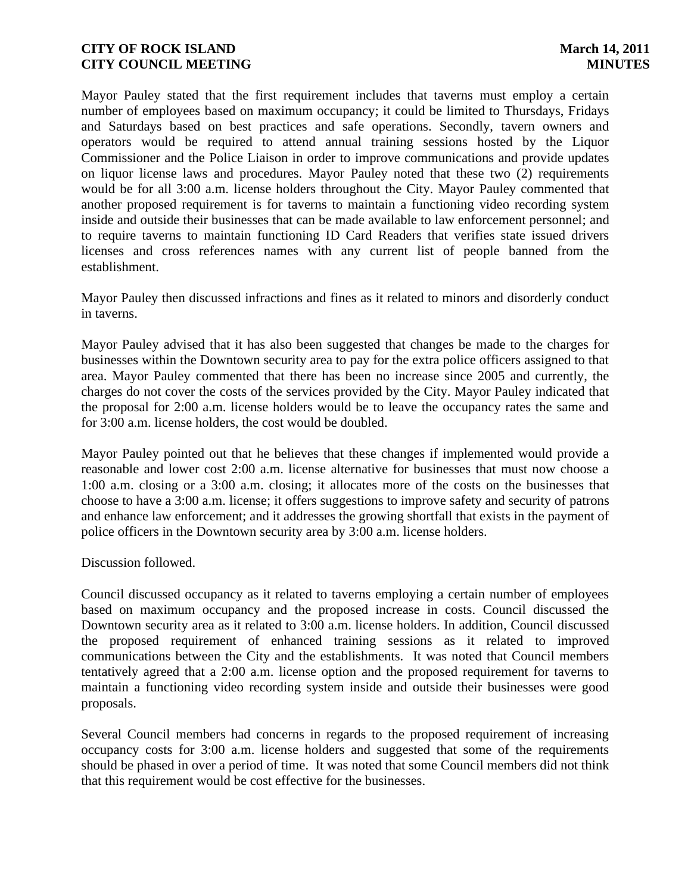Mayor Pauley stated that the first requirement includes that taverns must employ a certain number of employees based on maximum occupancy; it could be limited to Thursdays, Fridays and Saturdays based on best practices and safe operations. Secondly, tavern owners and operators would be required to attend annual training sessions hosted by the Liquor Commissioner and the Police Liaison in order to improve communications and provide updates on liquor license laws and procedures. Mayor Pauley noted that these two (2) requirements would be for all 3:00 a.m. license holders throughout the City. Mayor Pauley commented that another proposed requirement is for taverns to maintain a functioning video recording system inside and outside their businesses that can be made available to law enforcement personnel; and to require taverns to maintain functioning ID Card Readers that verifies state issued drivers licenses and cross references names with any current list of people banned from the establishment.

Mayor Pauley then discussed infractions and fines as it related to minors and disorderly conduct in taverns.

Mayor Pauley advised that it has also been suggested that changes be made to the charges for businesses within the Downtown security area to pay for the extra police officers assigned to that area. Mayor Pauley commented that there has been no increase since 2005 and currently, the charges do not cover the costs of the services provided by the City. Mayor Pauley indicated that the proposal for 2:00 a.m. license holders would be to leave the occupancy rates the same and for 3:00 a.m. license holders, the cost would be doubled.

Mayor Pauley pointed out that he believes that these changes if implemented would provide a reasonable and lower cost 2:00 a.m. license alternative for businesses that must now choose a 1:00 a.m. closing or a 3:00 a.m. closing; it allocates more of the costs on the businesses that choose to have a 3:00 a.m. license; it offers suggestions to improve safety and security of patrons and enhance law enforcement; and it addresses the growing shortfall that exists in the payment of police officers in the Downtown security area by 3:00 a.m. license holders.

Discussion followed.

Council discussed occupancy as it related to taverns employing a certain number of employees based on maximum occupancy and the proposed increase in costs. Council discussed the Downtown security area as it related to 3:00 a.m. license holders. In addition, Council discussed the proposed requirement of enhanced training sessions as it related to improved communications between the City and the establishments. It was noted that Council members tentatively agreed that a 2:00 a.m. license option and the proposed requirement for taverns to maintain a functioning video recording system inside and outside their businesses were good proposals.

Several Council members had concerns in regards to the proposed requirement of increasing occupancy costs for 3:00 a.m. license holders and suggested that some of the requirements should be phased in over a period of time. It was noted that some Council members did not think that this requirement would be cost effective for the businesses.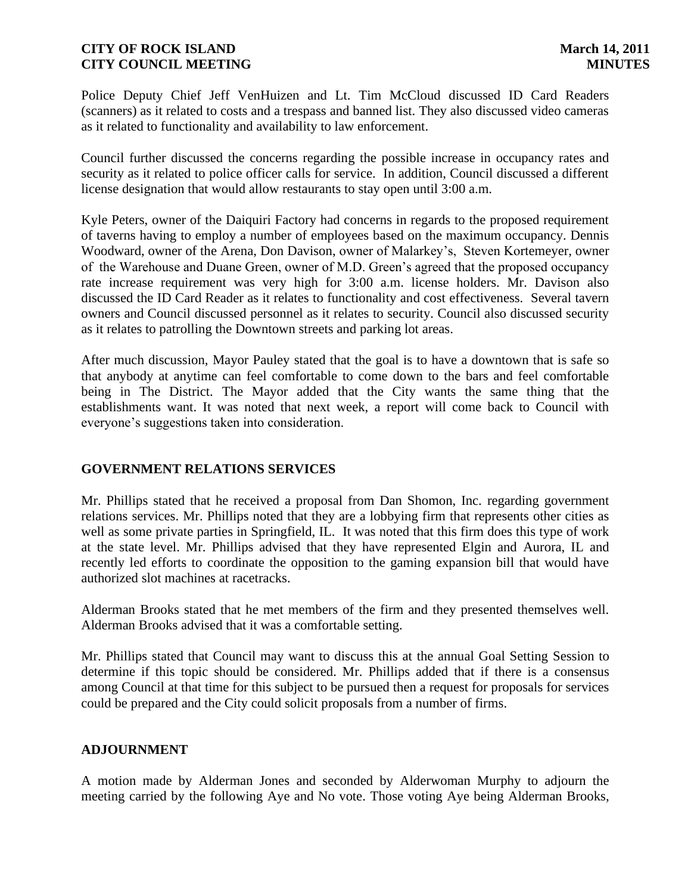Police Deputy Chief Jeff VenHuizen and Lt. Tim McCloud discussed ID Card Readers (scanners) as it related to costs and a trespass and banned list. They also discussed video cameras as it related to functionality and availability to law enforcement.

Council further discussed the concerns regarding the possible increase in occupancy rates and security as it related to police officer calls for service. In addition, Council discussed a different license designation that would allow restaurants to stay open until 3:00 a.m.

Kyle Peters, owner of the Daiquiri Factory had concerns in regards to the proposed requirement of taverns having to employ a number of employees based on the maximum occupancy. Dennis Woodward, owner of the Arena, Don Davison, owner of Malarkey's, Steven Kortemeyer, owner of the Warehouse and Duane Green, owner of M.D. Green's agreed that the proposed occupancy rate increase requirement was very high for 3:00 a.m. license holders. Mr. Davison also discussed the ID Card Reader as it relates to functionality and cost effectiveness. Several tavern owners and Council discussed personnel as it relates to security. Council also discussed security as it relates to patrolling the Downtown streets and parking lot areas.

After much discussion, Mayor Pauley stated that the goal is to have a downtown that is safe so that anybody at anytime can feel comfortable to come down to the bars and feel comfortable being in The District. The Mayor added that the City wants the same thing that the establishments want. It was noted that next week, a report will come back to Council with everyone's suggestions taken into consideration.

# **GOVERNMENT RELATIONS SERVICES**

Mr. Phillips stated that he received a proposal from Dan Shomon, Inc. regarding government relations services. Mr. Phillips noted that they are a lobbying firm that represents other cities as well as some private parties in Springfield, IL. It was noted that this firm does this type of work at the state level. Mr. Phillips advised that they have represented Elgin and Aurora, IL and recently led efforts to coordinate the opposition to the gaming expansion bill that would have authorized slot machines at racetracks.

Alderman Brooks stated that he met members of the firm and they presented themselves well. Alderman Brooks advised that it was a comfortable setting.

Mr. Phillips stated that Council may want to discuss this at the annual Goal Setting Session to determine if this topic should be considered. Mr. Phillips added that if there is a consensus among Council at that time for this subject to be pursued then a request for proposals for services could be prepared and the City could solicit proposals from a number of firms.

## **ADJOURNMENT**

A motion made by Alderman Jones and seconded by Alderwoman Murphy to adjourn the meeting carried by the following Aye and No vote. Those voting Aye being Alderman Brooks,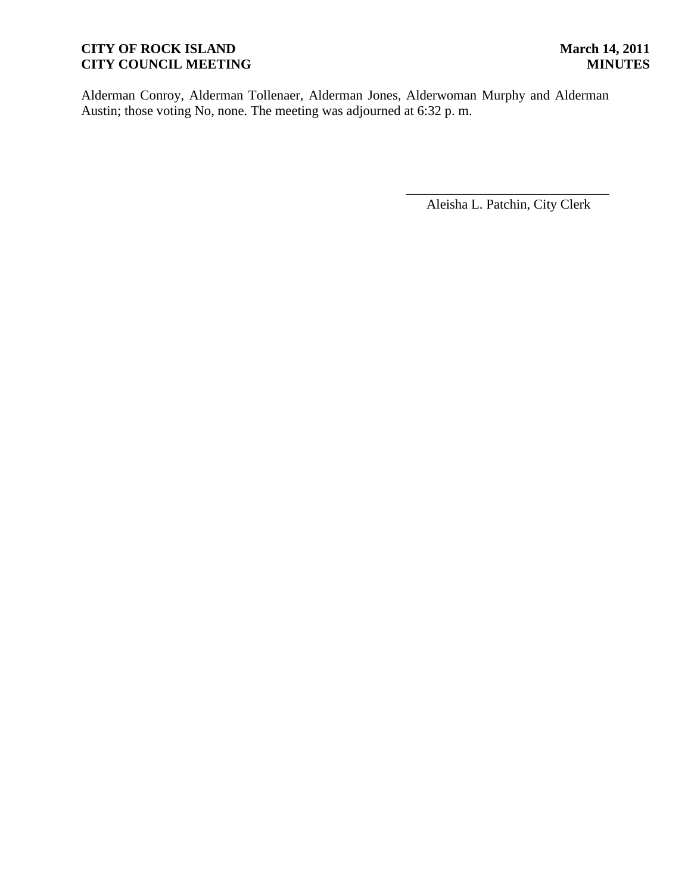Alderman Conroy, Alderman Tollenaer, Alderman Jones, Alderwoman Murphy and Alderman Austin; those voting No, none. The meeting was adjourned at 6:32 p. m.

\_\_\_\_\_\_\_\_\_\_\_\_\_\_\_\_\_\_\_\_\_\_\_\_\_\_\_\_\_\_ Aleisha L. Patchin, City Clerk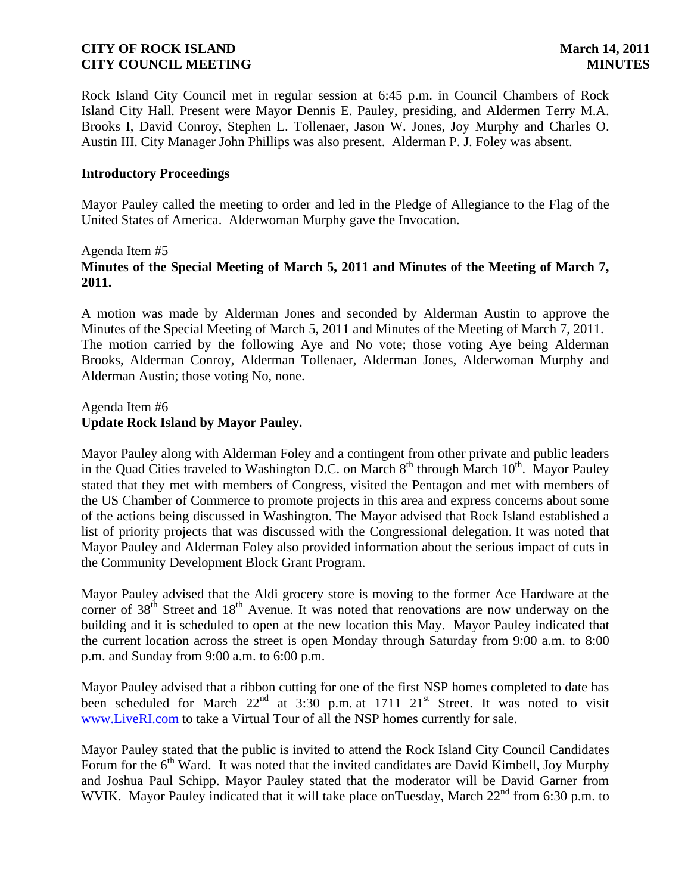Rock Island City Council met in regular session at 6:45 p.m. in Council Chambers of Rock Island City Hall. Present were Mayor Dennis E. Pauley, presiding, and Aldermen Terry M.A. Brooks I, David Conroy, Stephen L. Tollenaer, Jason W. Jones, Joy Murphy and Charles O. Austin III. City Manager John Phillips was also present. Alderman P. J. Foley was absent.

### **Introductory Proceedings**

Mayor Pauley called the meeting to order and led in the Pledge of Allegiance to the Flag of the United States of America. Alderwoman Murphy gave the Invocation.

## Agenda Item #5 **Minutes of the Special Meeting of March 5, 2011 and Minutes of the Meeting of March 7, 2011.**

A motion was made by Alderman Jones and seconded by Alderman Austin to approve the Minutes of the Special Meeting of March 5, 2011 and Minutes of the Meeting of March 7, 2011. The motion carried by the following Aye and No vote; those voting Aye being Alderman Brooks, Alderman Conroy, Alderman Tollenaer, Alderman Jones, Alderwoman Murphy and Alderman Austin; those voting No, none.

### Agenda Item #6 **Update Rock Island by Mayor Pauley.**

Mayor Pauley along with Alderman Foley and a contingent from other private and public leaders in the Quad Cities traveled to Washington D.C. on March  $8<sup>th</sup>$  through March  $10<sup>th</sup>$ . Mayor Pauley stated that they met with members of Congress, visited the Pentagon and met with members of the US Chamber of Commerce to promote projects in this area and express concerns about some of the actions being discussed in Washington. The Mayor advised that Rock Island established a list of priority projects that was discussed with the Congressional delegation. It was noted that Mayor Pauley and Alderman Foley also provided information about the serious impact of cuts in the Community Development Block Grant Program.

Mayor Pauley advised that the Aldi grocery store is moving to the former Ace Hardware at the corner of  $38<sup>th</sup>$  Street and  $18<sup>th</sup>$  Avenue. It was noted that renovations are now underway on the building and it is scheduled to open at the new location this May. Mayor Pauley indicated that the current location across the street is open Monday through Saturday from 9:00 a.m. to 8:00 p.m. and Sunday from 9:00 a.m. to 6:00 p.m.

Mayor Pauley advised that a ribbon cutting for one of the first NSP homes completed to date has been scheduled for March  $22^{nd}$  at  $3:30$  p.m. at  $1711$   $21^{st}$  Street. It was noted to visit [www.LiveRI.com](http://r20.rs6.net/tn.jsp?llr=74ity5bab&et=1104725240250&s=945&e=001DGgD36c9nXux5Eq7DllC_IwqU0kAVIvw5FGQSq79K0GYq-AQ2AuhWPtqqEpN5_Zotv0bKuWpjt5YMKMarIUqOH28RPm4lh9nuAaxD6suBa0=) to take a Virtual Tour of all the NSP homes currently for sale.

Mayor Pauley stated that the public is invited to attend the Rock Island City Council Candidates Forum for the  $6<sup>th</sup>$  Ward. It was noted that the invited candidates are David Kimbell, Joy Murphy and Joshua Paul Schipp. Mayor Pauley stated that the moderator will be David Garner from WVIK. Mayor Pauley indicated that it will take place onTuesday, March  $22<sup>nd</sup>$  from 6:30 p.m. to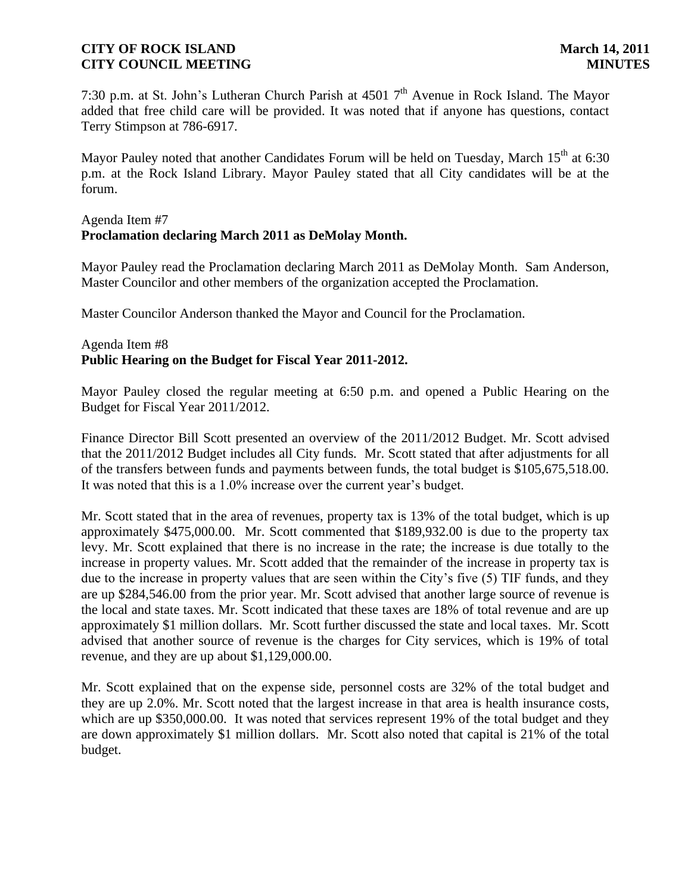7:30 p.m. at St. John's Lutheran Church Parish at  $45017<sup>th</sup>$  Avenue in Rock Island. The Mayor added that free child care will be provided. It was noted that if anyone has questions, contact Terry Stimpson at 786-6917.

Mayor Pauley noted that another Candidates Forum will be held on Tuesday, March 15<sup>th</sup> at 6:30 p.m. at the Rock Island Library. Mayor Pauley stated that all City candidates will be at the forum.

# Agenda Item #7 **Proclamation declaring March 2011 as DeMolay Month.**

Mayor Pauley read the Proclamation declaring March 2011 as DeMolay Month. Sam Anderson, Master Councilor and other members of the organization accepted the Proclamation.

Master Councilor Anderson thanked the Mayor and Council for the Proclamation.

# Agenda Item #8 **Public Hearing on the Budget for Fiscal Year 2011-2012.**

Mayor Pauley closed the regular meeting at 6:50 p.m. and opened a Public Hearing on the Budget for Fiscal Year 2011/2012.

Finance Director Bill Scott presented an overview of the 2011/2012 Budget. Mr. Scott advised that the 2011/2012 Budget includes all City funds. Mr. Scott stated that after adjustments for all of the transfers between funds and payments between funds, the total budget is \$105,675,518.00. It was noted that this is a 1.0% increase over the current year's budget.

Mr. Scott stated that in the area of revenues, property tax is 13% of the total budget, which is up approximately \$475,000.00. Mr. Scott commented that \$189,932.00 is due to the property tax levy. Mr. Scott explained that there is no increase in the rate; the increase is due totally to the increase in property values. Mr. Scott added that the remainder of the increase in property tax is due to the increase in property values that are seen within the City's five (5) TIF funds, and they are up \$284,546.00 from the prior year. Mr. Scott advised that another large source of revenue is the local and state taxes. Mr. Scott indicated that these taxes are 18% of total revenue and are up approximately \$1 million dollars. Mr. Scott further discussed the state and local taxes. Mr. Scott advised that another source of revenue is the charges for City services, which is 19% of total revenue, and they are up about \$1,129,000.00.

Mr. Scott explained that on the expense side, personnel costs are 32% of the total budget and they are up 2.0%. Mr. Scott noted that the largest increase in that area is health insurance costs, which are up \$350,000.00. It was noted that services represent 19% of the total budget and they are down approximately \$1 million dollars. Mr. Scott also noted that capital is 21% of the total budget.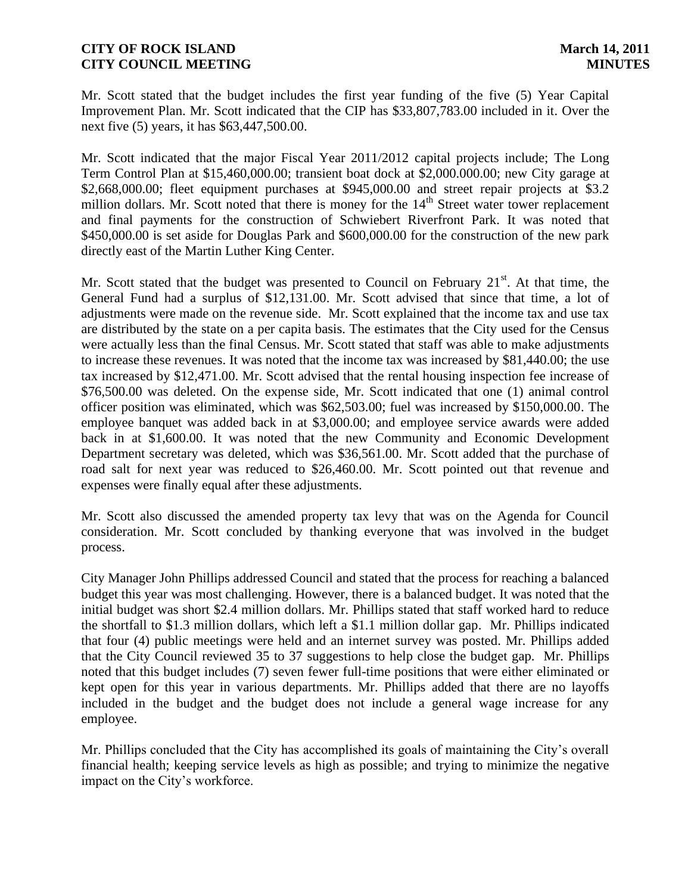Mr. Scott stated that the budget includes the first year funding of the five (5) Year Capital Improvement Plan. Mr. Scott indicated that the CIP has \$33,807,783.00 included in it. Over the next five (5) years, it has \$63,447,500.00.

Mr. Scott indicated that the major Fiscal Year 2011/2012 capital projects include; The Long Term Control Plan at \$15,460,000.00; transient boat dock at \$2,000.000.00; new City garage at \$2,668,000.00; fleet equipment purchases at \$945,000.00 and street repair projects at \$3.2 million dollars. Mr. Scott noted that there is money for the 14<sup>th</sup> Street water tower replacement and final payments for the construction of Schwiebert Riverfront Park. It was noted that \$450,000.00 is set aside for Douglas Park and \$600,000.00 for the construction of the new park directly east of the Martin Luther King Center.

Mr. Scott stated that the budget was presented to Council on February  $21<sup>st</sup>$ . At that time, the General Fund had a surplus of \$12,131.00. Mr. Scott advised that since that time, a lot of adjustments were made on the revenue side. Mr. Scott explained that the income tax and use tax are distributed by the state on a per capita basis. The estimates that the City used for the Census were actually less than the final Census. Mr. Scott stated that staff was able to make adjustments to increase these revenues. It was noted that the income tax was increased by \$81,440.00; the use tax increased by \$12,471.00. Mr. Scott advised that the rental housing inspection fee increase of \$76,500.00 was deleted. On the expense side, Mr. Scott indicated that one (1) animal control officer position was eliminated, which was \$62,503.00; fuel was increased by \$150,000.00. The employee banquet was added back in at \$3,000.00; and employee service awards were added back in at \$1,600.00. It was noted that the new Community and Economic Development Department secretary was deleted, which was \$36,561.00. Mr. Scott added that the purchase of road salt for next year was reduced to \$26,460.00. Mr. Scott pointed out that revenue and expenses were finally equal after these adjustments.

Mr. Scott also discussed the amended property tax levy that was on the Agenda for Council consideration. Mr. Scott concluded by thanking everyone that was involved in the budget process.

City Manager John Phillips addressed Council and stated that the process for reaching a balanced budget this year was most challenging. However, there is a balanced budget. It was noted that the initial budget was short \$2.4 million dollars. Mr. Phillips stated that staff worked hard to reduce the shortfall to \$1.3 million dollars, which left a \$1.1 million dollar gap. Mr. Phillips indicated that four (4) public meetings were held and an internet survey was posted. Mr. Phillips added that the City Council reviewed 35 to 37 suggestions to help close the budget gap. Mr. Phillips noted that this budget includes (7) seven fewer full-time positions that were either eliminated or kept open for this year in various departments. Mr. Phillips added that there are no layoffs included in the budget and the budget does not include a general wage increase for any employee.

Mr. Phillips concluded that the City has accomplished its goals of maintaining the City's overall financial health; keeping service levels as high as possible; and trying to minimize the negative impact on the City's workforce.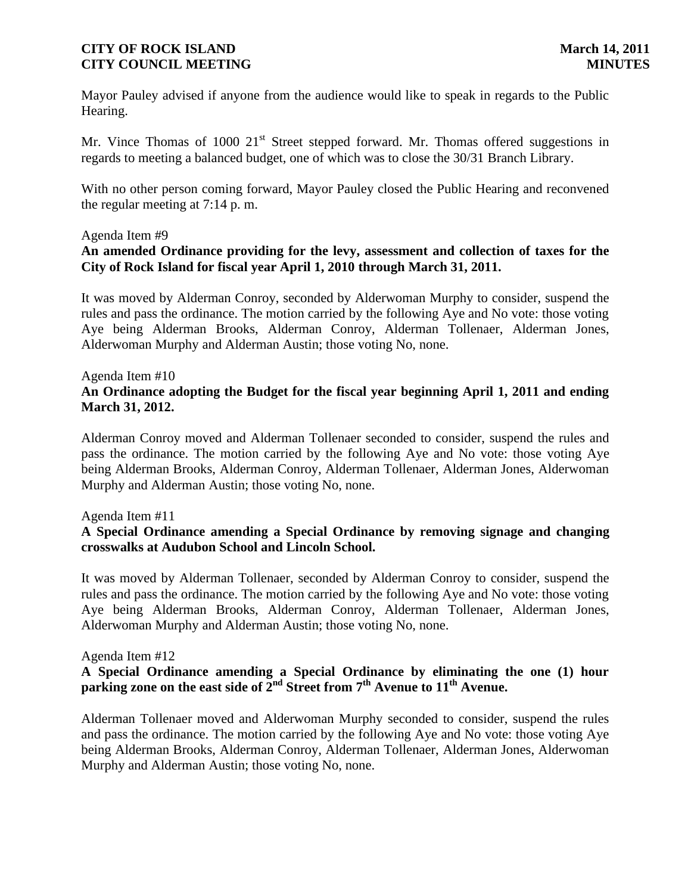Mayor Pauley advised if anyone from the audience would like to speak in regards to the Public Hearing.

Mr. Vince Thomas of 1000  $21<sup>st</sup>$  Street stepped forward. Mr. Thomas offered suggestions in regards to meeting a balanced budget, one of which was to close the 30/31 Branch Library.

With no other person coming forward, Mayor Pauley closed the Public Hearing and reconvened the regular meeting at 7:14 p. m.

## Agenda Item #9 **An amended Ordinance providing for the levy, assessment and collection of taxes for the City of Rock Island for fiscal year April 1, 2010 through March 31, 2011.**

It was moved by Alderman Conroy, seconded by Alderwoman Murphy to consider, suspend the rules and pass the ordinance. The motion carried by the following Aye and No vote: those voting Aye being Alderman Brooks, Alderman Conroy, Alderman Tollenaer, Alderman Jones, Alderwoman Murphy and Alderman Austin; those voting No, none.

Agenda Item #10

# **An Ordinance adopting the Budget for the fiscal year beginning April 1, 2011 and ending March 31, 2012.**

Alderman Conroy moved and Alderman Tollenaer seconded to consider, suspend the rules and pass the ordinance. The motion carried by the following Aye and No vote: those voting Aye being Alderman Brooks, Alderman Conroy, Alderman Tollenaer, Alderman Jones, Alderwoman Murphy and Alderman Austin; those voting No, none.

## Agenda Item #11

# **A Special Ordinance amending a Special Ordinance by removing signage and changing crosswalks at Audubon School and Lincoln School.**

It was moved by Alderman Tollenaer, seconded by Alderman Conroy to consider, suspend the rules and pass the ordinance. The motion carried by the following Aye and No vote: those voting Aye being Alderman Brooks, Alderman Conroy, Alderman Tollenaer, Alderman Jones, Alderwoman Murphy and Alderman Austin; those voting No, none.

#### Agenda Item #12

# **A Special Ordinance amending a Special Ordinance by eliminating the one (1) hour**  parking zone on the east side of  $2^{nd}$  Street from  $7^{th}$  Avenue to  $11^{th}$  Avenue.

Alderman Tollenaer moved and Alderwoman Murphy seconded to consider, suspend the rules and pass the ordinance. The motion carried by the following Aye and No vote: those voting Aye being Alderman Brooks, Alderman Conroy, Alderman Tollenaer, Alderman Jones, Alderwoman Murphy and Alderman Austin; those voting No, none.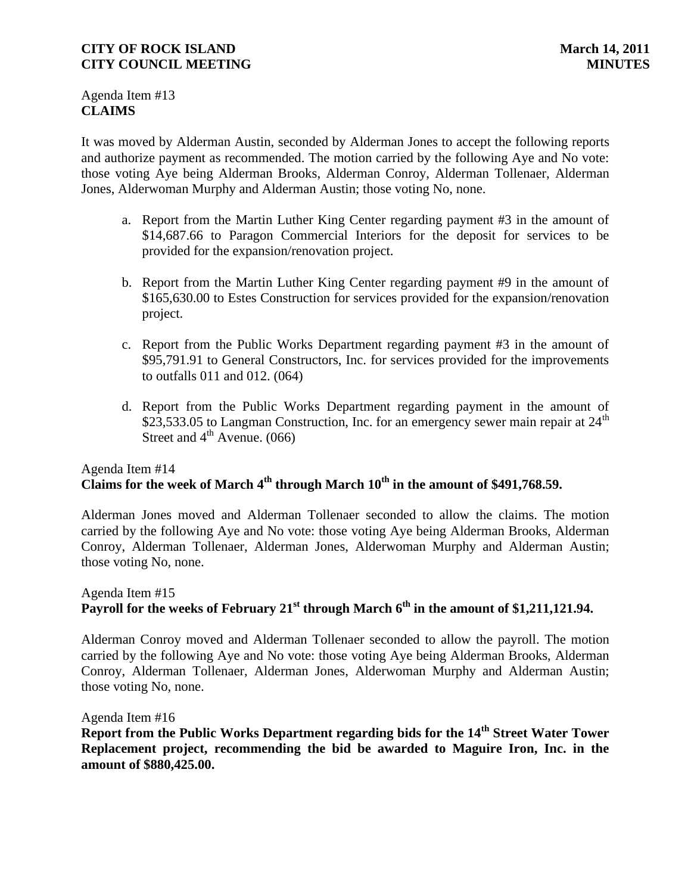Agenda Item #13 **CLAIMS**

It was moved by Alderman Austin, seconded by Alderman Jones to accept the following reports and authorize payment as recommended. The motion carried by the following Aye and No vote: those voting Aye being Alderman Brooks, Alderman Conroy, Alderman Tollenaer, Alderman Jones, Alderwoman Murphy and Alderman Austin; those voting No, none.

- a. Report from the Martin Luther King Center regarding payment #3 in the amount of \$14,687.66 to Paragon Commercial Interiors for the deposit for services to be provided for the expansion/renovation project.
- b. Report from the Martin Luther King Center regarding payment #9 in the amount of \$165,630.00 to Estes Construction for services provided for the expansion/renovation project.
- c. Report from the Public Works Department regarding payment #3 in the amount of \$95,791.91 to General Constructors, Inc. for services provided for the improvements to outfalls 011 and 012. (064)
- d. Report from the Public Works Department regarding payment in the amount of \$23,533.05 to Langman Construction, Inc. for an emergency sewer main repair at  $24<sup>th</sup>$ Street and  $4<sup>th</sup>$  Avenue. (066)

# Agenda Item #14 **Claims for the week of March 4 th through March 10th in the amount of \$491,768.59.**

Alderman Jones moved and Alderman Tollenaer seconded to allow the claims. The motion carried by the following Aye and No vote: those voting Aye being Alderman Brooks, Alderman Conroy, Alderman Tollenaer, Alderman Jones, Alderwoman Murphy and Alderman Austin; those voting No, none.

# Agenda Item #15 **Payroll for the weeks of February 21st through March 6th in the amount of \$1,211,121.94.**

Alderman Conroy moved and Alderman Tollenaer seconded to allow the payroll. The motion carried by the following Aye and No vote: those voting Aye being Alderman Brooks, Alderman Conroy, Alderman Tollenaer, Alderman Jones, Alderwoman Murphy and Alderman Austin; those voting No, none.

Agenda Item #16

**Report from the Public Works Department regarding bids for the 14th Street Water Tower Replacement project, recommending the bid be awarded to Maguire Iron, Inc. in the amount of \$880,425.00.**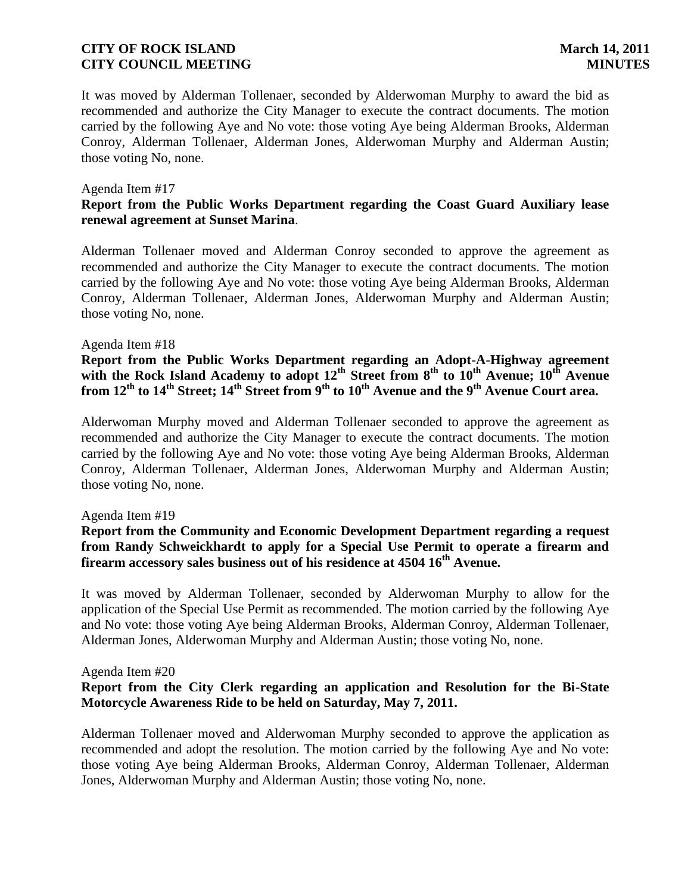It was moved by Alderman Tollenaer, seconded by Alderwoman Murphy to award the bid as recommended and authorize the City Manager to execute the contract documents. The motion carried by the following Aye and No vote: those voting Aye being Alderman Brooks, Alderman Conroy, Alderman Tollenaer, Alderman Jones, Alderwoman Murphy and Alderman Austin; those voting No, none.

#### Agenda Item #17

# **Report from the Public Works Department regarding the Coast Guard Auxiliary lease renewal agreement at Sunset Marina**.

Alderman Tollenaer moved and Alderman Conroy seconded to approve the agreement as recommended and authorize the City Manager to execute the contract documents. The motion carried by the following Aye and No vote: those voting Aye being Alderman Brooks, Alderman Conroy, Alderman Tollenaer, Alderman Jones, Alderwoman Murphy and Alderman Austin; those voting No, none.

#### Agenda Item #18

**Report from the Public Works Department regarding an Adopt-A-Highway agreement**  with the Rock Island Academy to adopt  $12^{\text{th}}$  Street from 8<sup>th</sup> to  $10^{\text{th}}$  Avenue;  $10^{\text{th}}$  Avenue **from 12th to 14th Street; 14th Street from 9th to 10th Avenue and the 9th Avenue Court area.**

Alderwoman Murphy moved and Alderman Tollenaer seconded to approve the agreement as recommended and authorize the City Manager to execute the contract documents. The motion carried by the following Aye and No vote: those voting Aye being Alderman Brooks, Alderman Conroy, Alderman Tollenaer, Alderman Jones, Alderwoman Murphy and Alderman Austin; those voting No, none.

#### Agenda Item #19

# **Report from the Community and Economic Development Department regarding a request from Randy Schweickhardt to apply for a Special Use Permit to operate a firearm and firearm accessory sales business out of his residence at 4504 16th Avenue.**

It was moved by Alderman Tollenaer, seconded by Alderwoman Murphy to allow for the application of the Special Use Permit as recommended. The motion carried by the following Aye and No vote: those voting Aye being Alderman Brooks, Alderman Conroy, Alderman Tollenaer, Alderman Jones, Alderwoman Murphy and Alderman Austin; those voting No, none.

#### Agenda Item #20

## **Report from the City Clerk regarding an application and Resolution for the Bi-State Motorcycle Awareness Ride to be held on Saturday, May 7, 2011.**

Alderman Tollenaer moved and Alderwoman Murphy seconded to approve the application as recommended and adopt the resolution. The motion carried by the following Aye and No vote: those voting Aye being Alderman Brooks, Alderman Conroy, Alderman Tollenaer, Alderman Jones, Alderwoman Murphy and Alderman Austin; those voting No, none.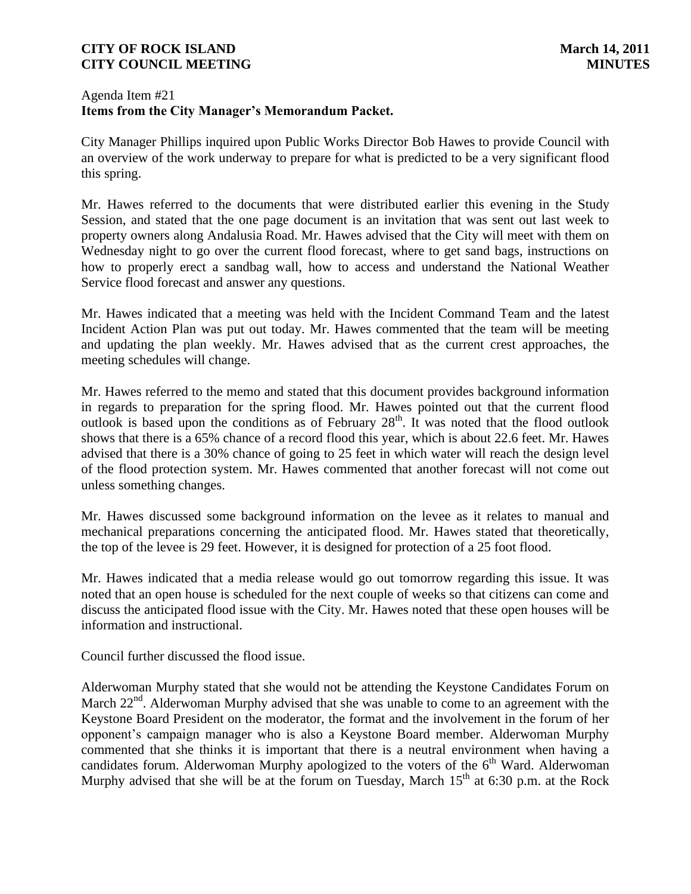## Agenda Item #21 **Items from the City Manager's Memorandum Packet.**

City Manager Phillips inquired upon Public Works Director Bob Hawes to provide Council with an overview of the work underway to prepare for what is predicted to be a very significant flood this spring.

Mr. Hawes referred to the documents that were distributed earlier this evening in the Study Session, and stated that the one page document is an invitation that was sent out last week to property owners along Andalusia Road. Mr. Hawes advised that the City will meet with them on Wednesday night to go over the current flood forecast, where to get sand bags, instructions on how to properly erect a sandbag wall, how to access and understand the National Weather Service flood forecast and answer any questions.

Mr. Hawes indicated that a meeting was held with the Incident Command Team and the latest Incident Action Plan was put out today. Mr. Hawes commented that the team will be meeting and updating the plan weekly. Mr. Hawes advised that as the current crest approaches, the meeting schedules will change.

Mr. Hawes referred to the memo and stated that this document provides background information in regards to preparation for the spring flood. Mr. Hawes pointed out that the current flood outlook is based upon the conditions as of February  $28<sup>th</sup>$ . It was noted that the flood outlook shows that there is a 65% chance of a record flood this year, which is about 22.6 feet. Mr. Hawes advised that there is a 30% chance of going to 25 feet in which water will reach the design level of the flood protection system. Mr. Hawes commented that another forecast will not come out unless something changes.

Mr. Hawes discussed some background information on the levee as it relates to manual and mechanical preparations concerning the anticipated flood. Mr. Hawes stated that theoretically, the top of the levee is 29 feet. However, it is designed for protection of a 25 foot flood.

Mr. Hawes indicated that a media release would go out tomorrow regarding this issue. It was noted that an open house is scheduled for the next couple of weeks so that citizens can come and discuss the anticipated flood issue with the City. Mr. Hawes noted that these open houses will be information and instructional.

Council further discussed the flood issue.

Alderwoman Murphy stated that she would not be attending the Keystone Candidates Forum on March 22<sup>nd</sup>. Alderwoman Murphy advised that she was unable to come to an agreement with the Keystone Board President on the moderator, the format and the involvement in the forum of her opponent's campaign manager who is also a Keystone Board member. Alderwoman Murphy commented that she thinks it is important that there is a neutral environment when having a candidates forum. Alderwoman Murphy apologized to the voters of the  $6<sup>th</sup>$  Ward. Alderwoman Murphy advised that she will be at the forum on Tuesday, March 15<sup>th</sup> at 6:30 p.m. at the Rock